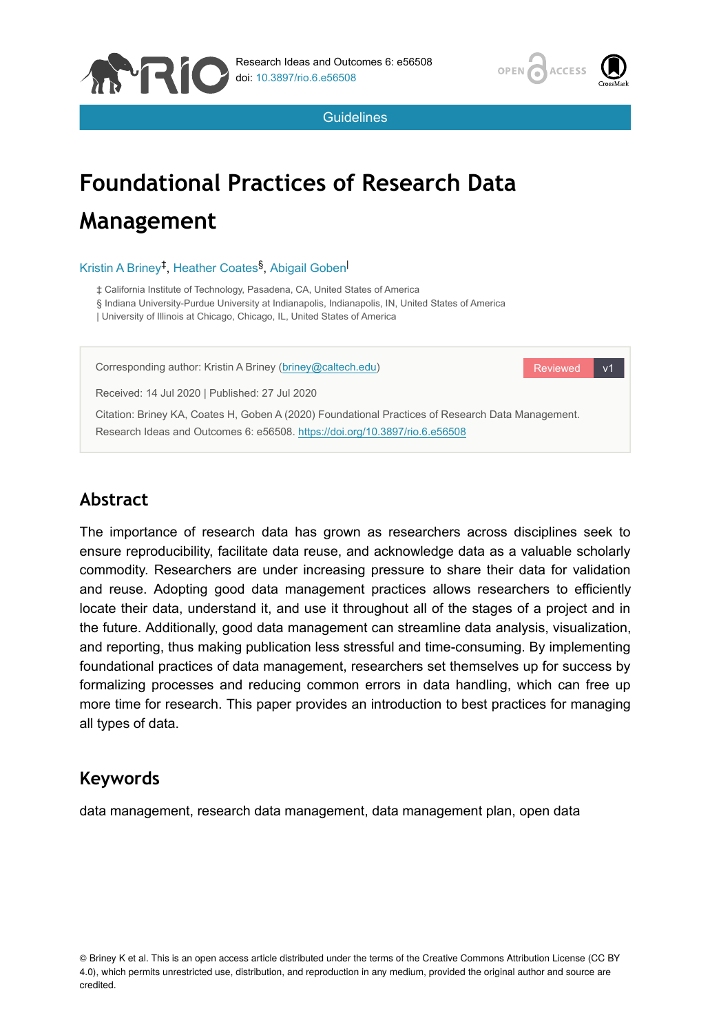



Reviewed v1

**Guidelines** 

# **Foundational Practices of Research Data Management**

#### Kristin A Briney<sup>‡</sup>, Heather Coates<sup>§</sup>, Abigail Goben

‡ California Institute of Technology, Pasadena, CA, United States of America § Indiana University-Purdue University at Indianapolis, Indianapolis, IN, United States of America | University of Illinois at Chicago, Chicago, IL, United States of America

Corresponding author: Kristin A Briney ([briney@caltech.edu\)](mailto:briney@caltech.edu)

Received: 14 Jul 2020 | Published: 27 Jul 2020

Citation: Briney KA, Coates H, Goben A (2020) Foundational Practices of Research Data Management. Research Ideas and Outcomes 6: e56508.<https://doi.org/10.3897/rio.6.e56508>

# **Abstract**

The importance of research data has grown as researchers across disciplines seek to ensure reproducibility, facilitate data reuse, and acknowledge data as a valuable scholarly commodity. Researchers are under increasing pressure to share their data for validation and reuse. Adopting good data management practices allows researchers to efficiently locate their data, understand it, and use it throughout all of the stages of a project and in the future. Additionally, good data management can streamline data analysis, visualization, and reporting, thus making publication less stressful and time-consuming. By implementing foundational practices of data management, researchers set themselves up for success by formalizing processes and reducing common errors in data handling, which can free up more time for research. This paper provides an introduction to best practices for managing all types of data.

## **Keywords**

data management, research data management, data management plan, open data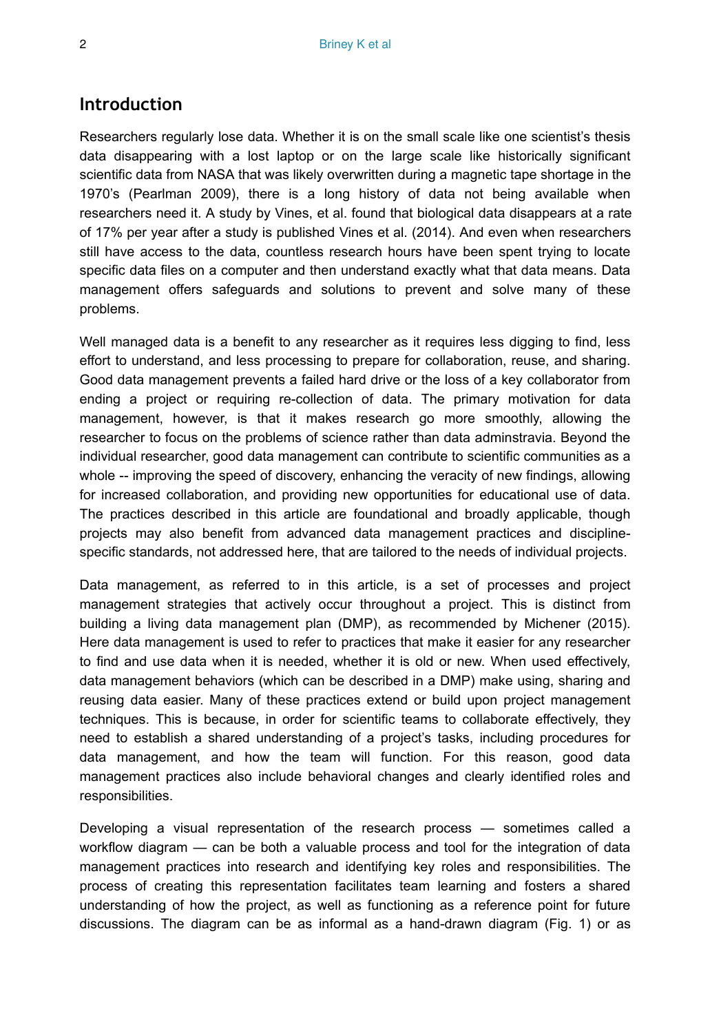#### **Introduction**

Researchers regularly lose data. Whether it is on the small scale like one scientist's thesis data disappearing with a lost laptop or on the large scale like historically significant scientific data from NASA that was likely overwritten during a magnetic tape shortage in the 1970's (Pearlman 2009), there is a long history of data not being available when researchers need it. A study by Vines, et al. found that biological data disappears at a rate of 17% per year after a study is published Vines et al. (2014). And even when researchers still have access to the data, countless research hours have been spent trying to locate specific data files on a computer and then understand exactly what that data means. Data management offers safeguards and solutions to prevent and solve many of these problems.

Well managed data is a benefit to any researcher as it requires less digging to find, less effort to understand, and less processing to prepare for collaboration, reuse, and sharing. Good data management prevents a failed hard drive or the loss of a key collaborator from ending a project or requiring re-collection of data. The primary motivation for data management, however, is that it makes research go more smoothly, allowing the researcher to focus on the problems of science rather than data adminstravia. Beyond the individual researcher, good data management can contribute to scientific communities as a whole -- improving the speed of discovery, enhancing the veracity of new findings, allowing for increased collaboration, and providing new opportunities for educational use of data. The practices described in this article are foundational and broadly applicable, though projects may also benefit from advanced data management practices and disciplinespecific standards, not addressed here, that are tailored to the needs of individual projects.

Data management, as referred to in this article, is a set of processes and project management strategies that actively occur throughout a project. This is distinct from building a living data management plan (DMP), as recommended by Michener (2015). Here data management is used to refer to practices that make it easier for any researcher to find and use data when it is needed, whether it is old or new. When used effectively, data management behaviors (which can be described in a DMP) make using, sharing and reusing data easier. Many of these practices extend or build upon project management techniques. This is because, in order for scientific teams to collaborate effectively, they need to establish a shared understanding of a project's tasks, including procedures for data management, and how the team will function. For this reason, good data management practices also include behavioral changes and clearly identified roles and responsibilities.

Developing a visual representation of the research process — sometimes called a workflow diagram — can be both a valuable process and tool for the integration of data management practices into research and identifying key roles and responsibilities. The process of creating this representation facilitates team learning and fosters a shared understanding of how the project, as well as functioning as a reference point for future discussions. The diagram can be as informal as a hand-drawn diagram (Fig. 1) or as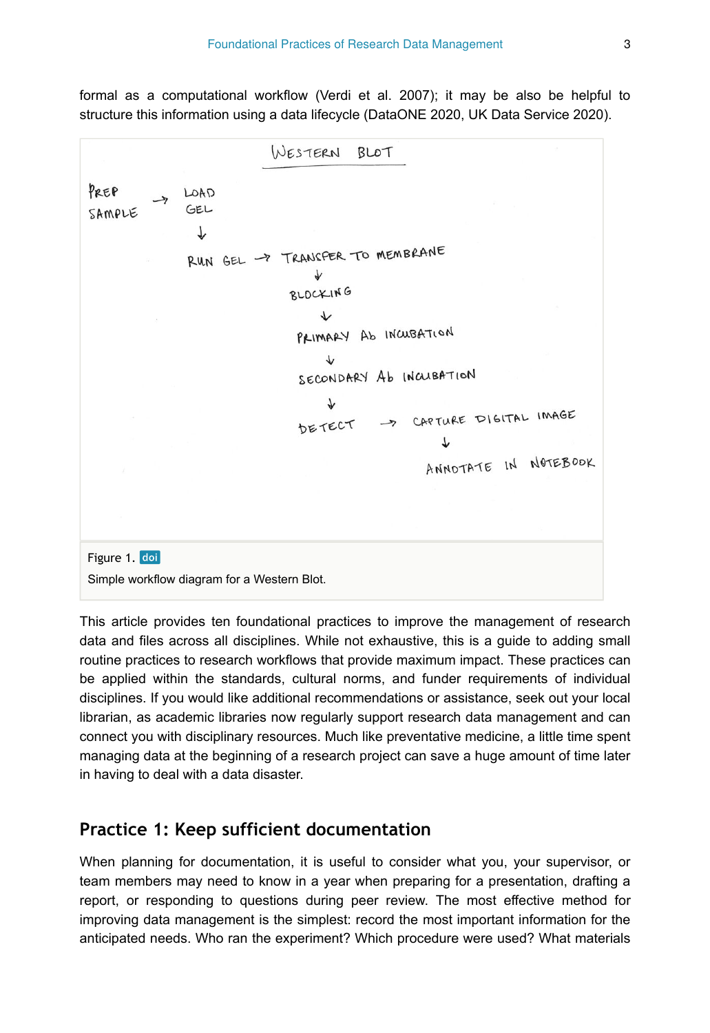formal as a computational workflow (Verdi et al. 2007); it may be also be helpful to structure this information using a data lifecycle (DataONE 2020, UK Data Service 2020).



This article provides ten foundational practices to improve the management of research data and files across all disciplines. While not exhaustive, this is a guide to adding small routine practices to research workflows that provide maximum impact. These practices can be applied within the standards, cultural norms, and funder requirements of individual disciplines. If you would like additional recommendations or assistance, seek out your local librarian, as academic libraries now regularly support research data management and can connect you with disciplinary resources. Much like preventative medicine, a little time spent managing data at the beginning of a research project can save a huge amount of time later in having to deal with a data disaster.

#### **Practice 1: Keep sufficient documentation**

When planning for documentation, it is useful to consider what you, your supervisor, or team members may need to know in a year when preparing for a presentation, drafting a report, or responding to questions during peer review. The most effective method for improving data management is the simplest: record the most important information for the anticipated needs. Who ran the experiment? Which procedure were used? What materials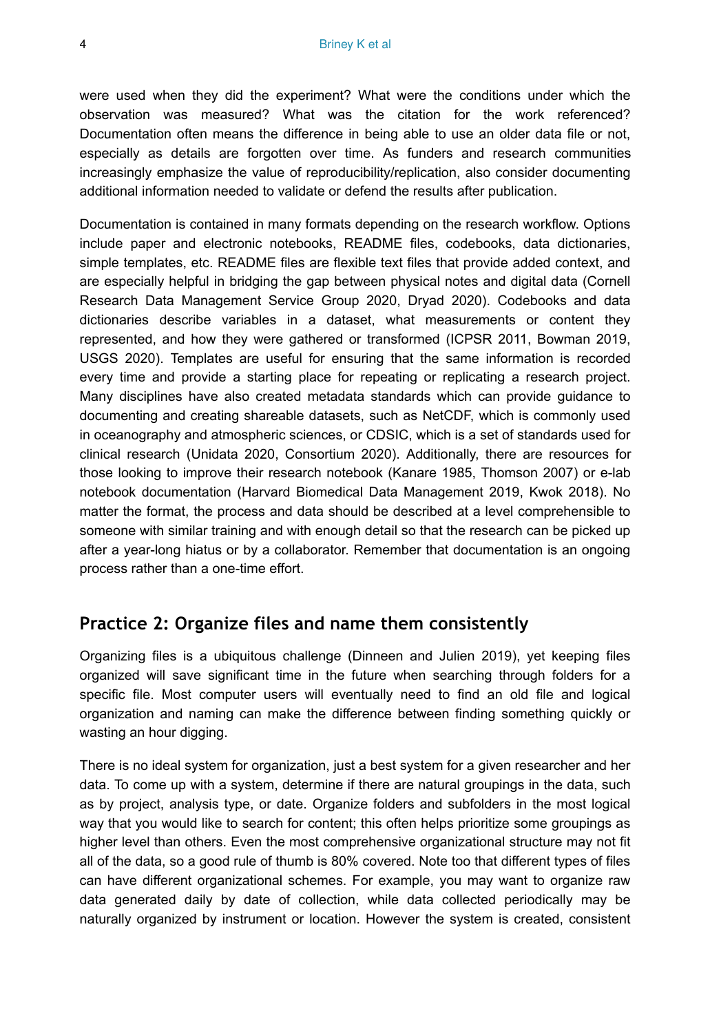were used when they did the experiment? What were the conditions under which the observation was measured? What was the citation for the work referenced? Documentation often means the difference in being able to use an older data file or not, especially as details are forgotten over time. As funders and research communities increasingly emphasize the value of reproducibility/replication, also consider documenting additional information needed to validate or defend the results after publication.

Documentation is contained in many formats depending on the research workflow. Options include paper and electronic notebooks, README files, codebooks, data dictionaries, simple templates, etc. README files are flexible text files that provide added context, and are especially helpful in bridging the gap between physical notes and digital data (Cornell Research Data Management Service Group 2020, Dryad 2020). Codebooks and data dictionaries describe variables in a dataset, what measurements or content they represented, and how they were gathered or transformed (ICPSR 2011, Bowman 2019, USGS 2020). Templates are useful for ensuring that the same information is recorded every time and provide a starting place for repeating or replicating a research project. Many disciplines have also created metadata standards which can provide guidance to documenting and creating shareable datasets, such as NetCDF, which is commonly used in oceanography and atmospheric sciences, or CDSIC, which is a set of standards used for clinical research (Unidata 2020, Consortium 2020). Additionally, there are resources for those looking to improve their research notebook (Kanare 1985, Thomson 2007) or e-lab notebook documentation (Harvard Biomedical Data Management 2019, Kwok 2018). No matter the format, the process and data should be described at a level comprehensible to someone with similar training and with enough detail so that the research can be picked up after a year-long hiatus or by a collaborator. Remember that documentation is an ongoing process rather than a one-time effort.

## **Practice 2: Organize files and name them consistently**

Organizing files is a ubiquitous challenge (Dinneen and Julien 2019), yet keeping files organized will save significant time in the future when searching through folders for a specific file. Most computer users will eventually need to find an old file and logical organization and naming can make the difference between finding something quickly or wasting an hour digging.

There is no ideal system for organization, just a best system for a given researcher and her data. To come up with a system, determine if there are natural groupings in the data, such as by project, analysis type, or date. Organize folders and subfolders in the most logical way that you would like to search for content; this often helps prioritize some groupings as higher level than others. Even the most comprehensive organizational structure may not fit all of the data, so a good rule of thumb is 80% covered. Note too that different types of files can have different organizational schemes. For example, you may want to organize raw data generated daily by date of collection, while data collected periodically may be naturally organized by instrument or location. However the system is created, consistent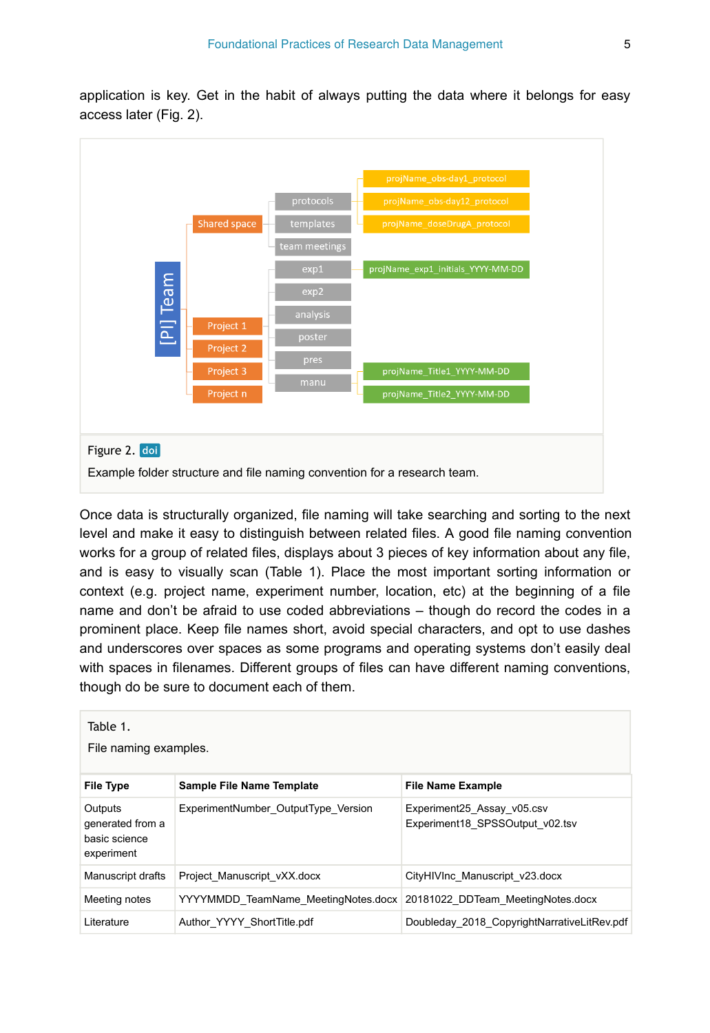application is key. Get in the habit of always putting the data where it belongs for easy access later (Fig. 2).



Once data is structurally organized, file naming will take searching and sorting to the next level and make it easy to distinguish between related files. A good file naming convention works for a group of related files, displays about 3 pieces of key information about any file, and is easy to visually scan (Table 1). Place the most important sorting information or context (e.g. project name, experiment number, location, etc) at the beginning of a file name and don't be afraid to use coded abbreviations – though do record the codes in a prominent place. Keep file names short, avoid special characters, and opt to use dashes and underscores over spaces as some programs and operating systems don't easily deal with spaces in filenames. Different groups of files can have different naming conventions, though do be sure to document each of them.

| Table 1.<br>File naming examples.                          |                                                                       |                                                               |  |
|------------------------------------------------------------|-----------------------------------------------------------------------|---------------------------------------------------------------|--|
| <b>File Type</b>                                           | Sample File Name Template                                             | <b>File Name Example</b>                                      |  |
| Outputs<br>generated from a<br>basic science<br>experiment | ExperimentNumber OutputType Version                                   | Experiment25 Assay v05.csv<br>Experiment18 SPSSOutput v02.tsv |  |
| Manuscript drafts                                          | Project Manuscript vXX.docx                                           | CityHIVInc Manuscript v23.docx                                |  |
| Meeting notes                                              | YYYYMMDD TeamName MeetingNotes.docx 20181022 DDTeam MeetingNotes.docx |                                                               |  |
| Literature                                                 | Author YYYY ShortTitle.pdf                                            | Doubleday 2018 CopyrightNarrativeLitRev.pdf                   |  |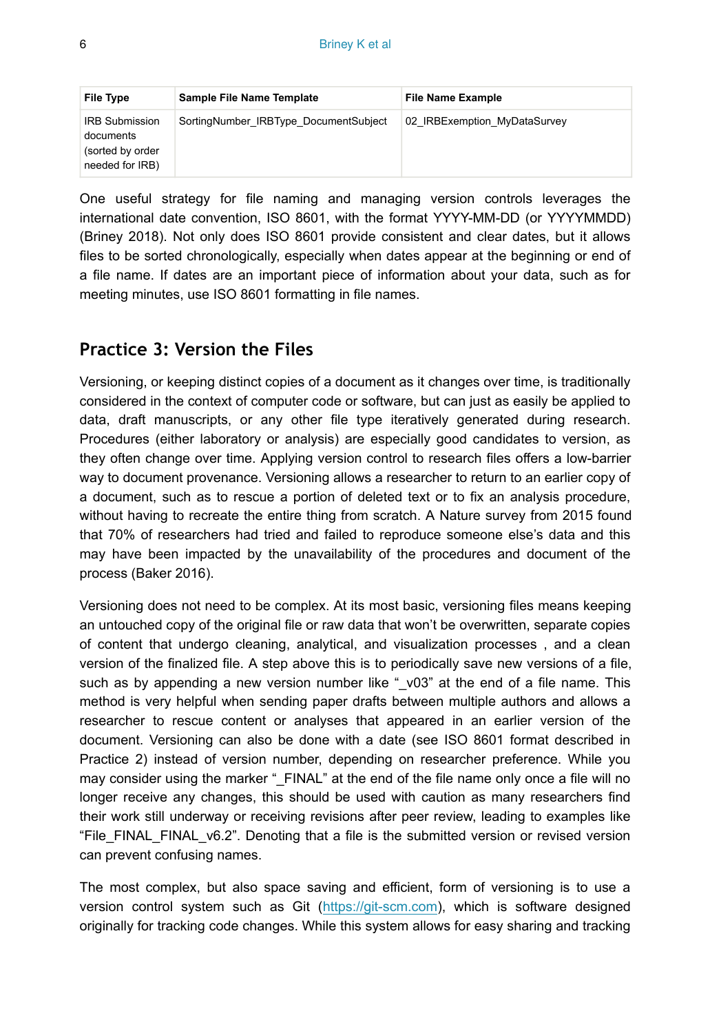| File Type                                                                 | Sample File Name Template             | <b>File Name Example</b>     |
|---------------------------------------------------------------------------|---------------------------------------|------------------------------|
| <b>IRB Submission</b><br>documents<br>(sorted by order<br>needed for IRB) | SortingNumber IRBType DocumentSubject | 02 IRBExemption MyDataSurvey |

One useful strategy for file naming and managing version controls leverages the international date convention, ISO 8601, with the format YYYY-MM-DD (or YYYYMMDD) (Briney 2018). Not only does ISO 8601 provide consistent and clear dates, but it allows files to be sorted chronologically, especially when dates appear at the beginning or end of a file name. If dates are an important piece of information about your data, such as for meeting minutes, use ISO 8601 formatting in file names.

## **Practice 3: Version the Files**

Versioning, or keeping distinct copies of a document as it changes over time, is traditionally considered in the context of computer code or software, but can just as easily be applied to data, draft manuscripts, or any other file type iteratively generated during research. Procedures (either laboratory or analysis) are especially good candidates to version, as they often change over time. Applying version control to research files offers a low-barrier way to document provenance. Versioning allows a researcher to return to an earlier copy of a document, such as to rescue a portion of deleted text or to fix an analysis procedure, without having to recreate the entire thing from scratch. A Nature survey from 2015 found that 70% of researchers had tried and failed to reproduce someone else's data and this may have been impacted by the unavailability of the procedures and document of the process (Baker 2016).

Versioning does not need to be complex. At its most basic, versioning files means keeping an untouched copy of the original file or raw data that won't be overwritten, separate copies of content that undergo cleaning, analytical, and visualization processes , and a clean version of the finalized file. A step above this is to periodically save new versions of a file, such as by appending a new version number like " v03" at the end of a file name. This method is very helpful when sending paper drafts between multiple authors and allows a researcher to rescue content or analyses that appeared in an earlier version of the document. Versioning can also be done with a date (see ISO 8601 format described in Practice 2) instead of version number, depending on researcher preference. While you may consider using the marker "\_FINAL" at the end of the file name only once a file will no longer receive any changes, this should be used with caution as many researchers find their work still underway or receiving revisions after peer review, leading to examples like "File\_FINAL\_FINAL\_v6.2". Denoting that a file is the submitted version or revised version can prevent confusing names.

The most complex, but also space saving and efficient, form of versioning is to use a version control system such as Git (<https://git-scm.com>), which is software designed originally for tracking code changes. While this system allows for easy sharing and tracking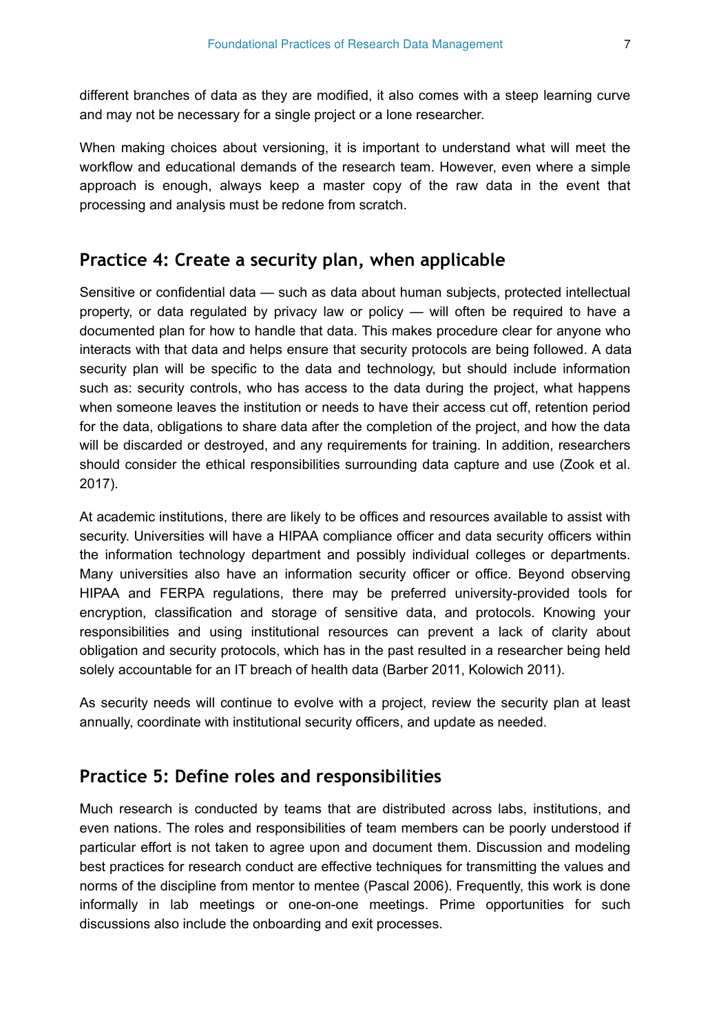different branches of data as they are modified, it also comes with a steep learning curve and may not be necessary for a single project or a lone researcher.

When making choices about versioning, it is important to understand what will meet the workflow and educational demands of the research team. However, even where a simple approach is enough, always keep a master copy of the raw data in the event that processing and analysis must be redone from scratch.

## **Practice 4: Create a security plan, when applicable**

Sensitive or confidential data — such as data about human subjects, protected intellectual property, or data regulated by privacy law or policy — will often be required to have a documented plan for how to handle that data. This makes procedure clear for anyone who interacts with that data and helps ensure that security protocols are being followed. A data security plan will be specific to the data and technology, but should include information such as: security controls, who has access to the data during the project, what happens when someone leaves the institution or needs to have their access cut off, retention period for the data, obligations to share data after the completion of the project, and how the data will be discarded or destroyed, and any requirements for training. In addition, researchers should consider the ethical responsibilities surrounding data capture and use (Zook et al. 2017).

At academic institutions, there are likely to be offices and resources available to assist with security. Universities will have a HIPAA compliance officer and data security officers within the information technology department and possibly individual colleges or departments. Many universities also have an information security officer or office. Beyond observing HIPAA and FERPA regulations, there may be preferred university-provided tools for encryption, classification and storage of sensitive data, and protocols. Knowing your responsibilities and using institutional resources can prevent a lack of clarity about obligation and security protocols, which has in the past resulted in a researcher being held solely accountable for an IT breach of health data (Barber 2011, Kolowich 2011).

As security needs will continue to evolve with a project, review the security plan at least annually, coordinate with institutional security officers, and update as needed.

#### **Practice 5: Define roles and responsibilities**

Much research is conducted by teams that are distributed across labs, institutions, and even nations. The roles and responsibilities of team members can be poorly understood if particular effort is not taken to agree upon and document them. Discussion and modeling best practices for research conduct are effective techniques for transmitting the values and norms of the discipline from mentor to mentee (Pascal 2006). Frequently, this work is done informally in lab meetings or one-on-one meetings. Prime opportunities for such discussions also include the onboarding and exit processes.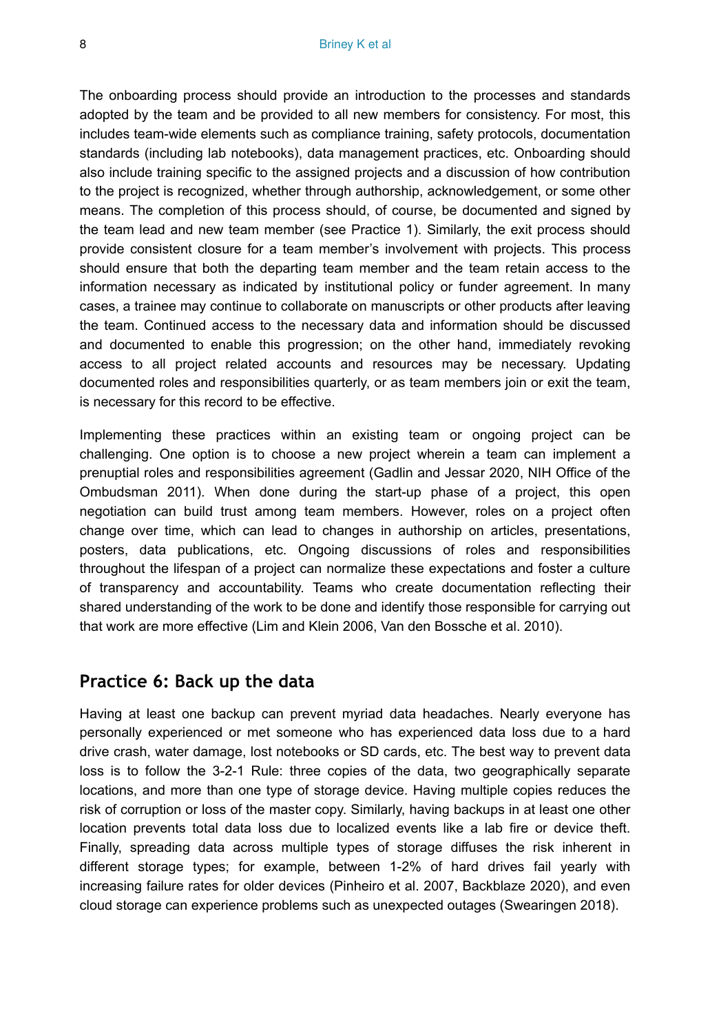The onboarding process should provide an introduction to the processes and standards adopted by the team and be provided to all new members for consistency. For most, this includes team-wide elements such as compliance training, safety protocols, documentation standards (including lab notebooks), data management practices, etc. Onboarding should also include training specific to the assigned projects and a discussion of how contribution to the project is recognized, whether through authorship, acknowledgement, or some other means. The completion of this process should, of course, be documented and signed by the team lead and new team member (see Practice 1). Similarly, the exit process should provide consistent closure for a team member's involvement with projects. This process should ensure that both the departing team member and the team retain access to the information necessary as indicated by institutional policy or funder agreement. In many cases, a trainee may continue to collaborate on manuscripts or other products after leaving the team. Continued access to the necessary data and information should be discussed and documented to enable this progression; on the other hand, immediately revoking access to all project related accounts and resources may be necessary. Updating documented roles and responsibilities quarterly, or as team members join or exit the team, is necessary for this record to be effective.

Implementing these practices within an existing team or ongoing project can be challenging. One option is to choose a new project wherein a team can implement a prenuptial roles and responsibilities agreement (Gadlin and Jessar 2020, NIH Office of the Ombudsman 2011). When done during the start-up phase of a project, this open negotiation can build trust among team members. However, roles on a project often change over time, which can lead to changes in authorship on articles, presentations, posters, data publications, etc. Ongoing discussions of roles and responsibilities throughout the lifespan of a project can normalize these expectations and foster a culture of transparency and accountability. Teams who create documentation reflecting their shared understanding of the work to be done and identify those responsible for carrying out that work are more effective (Lim and Klein 2006, Van den Bossche et al. 2010).

#### **Practice 6: Back up the data**

Having at least one backup can prevent myriad data headaches. Nearly everyone has personally experienced or met someone who has experienced data loss due to a hard drive crash, water damage, lost notebooks or SD cards, etc. The best way to prevent data loss is to follow the 3-2-1 Rule: three copies of the data, two geographically separate locations, and more than one type of storage device. Having multiple copies reduces the risk of corruption or loss of the master copy. Similarly, having backups in at least one other location prevents total data loss due to localized events like a lab fire or device theft. Finally, spreading data across multiple types of storage diffuses the risk inherent in different storage types; for example, between 1-2% of hard drives fail yearly with increasing failure rates for older devices (Pinheiro et al. 2007, Backblaze 2020), and even cloud storage can experience problems such as unexpected outages (Swearingen 2018).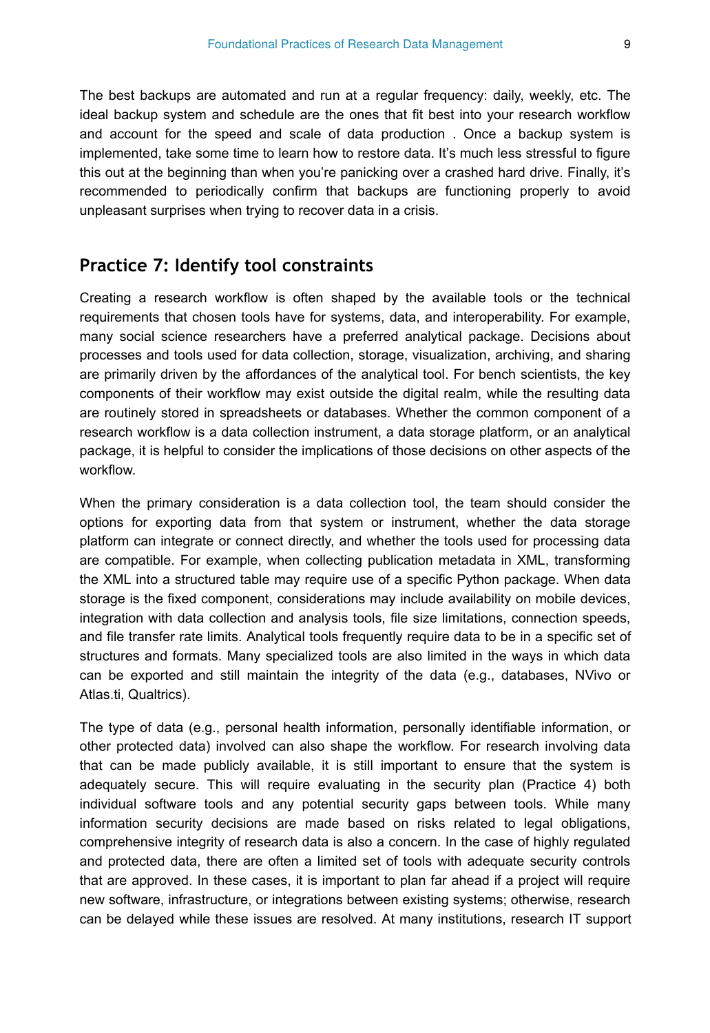The best backups are automated and run at a regular frequency: daily, weekly, etc. The ideal backup system and schedule are the ones that fit best into your research workflow and account for the speed and scale of data production . Once a backup system is implemented, take some time to learn how to restore data. It's much less stressful to figure this out at the beginning than when you're panicking over a crashed hard drive. Finally, it's recommended to periodically confirm that backups are functioning properly to avoid unpleasant surprises when trying to recover data in a crisis.

## **Practice 7: Identify tool constraints**

Creating a research workflow is often shaped by the available tools or the technical requirements that chosen tools have for systems, data, and interoperability. For example, many social science researchers have a preferred analytical package. Decisions about processes and tools used for data collection, storage, visualization, archiving, and sharing are primarily driven by the affordances of the analytical tool. For bench scientists, the key components of their workflow may exist outside the digital realm, while the resulting data are routinely stored in spreadsheets or databases. Whether the common component of a research workflow is a data collection instrument, a data storage platform, or an analytical package, it is helpful to consider the implications of those decisions on other aspects of the workflow.

When the primary consideration is a data collection tool, the team should consider the options for exporting data from that system or instrument, whether the data storage platform can integrate or connect directly, and whether the tools used for processing data are compatible. For example, when collecting publication metadata in XML, transforming the XML into a structured table may require use of a specific Python package. When data storage is the fixed component, considerations may include availability on mobile devices, integration with data collection and analysis tools, file size limitations, connection speeds, and file transfer rate limits. Analytical tools frequently require data to be in a specific set of structures and formats. Many specialized tools are also limited in the ways in which data can be exported and still maintain the integrity of the data (e.g., databases, NVivo or Atlas.ti, Qualtrics).

The type of data (e.g., personal health information, personally identifiable information, or other protected data) involved can also shape the workflow. For research involving data that can be made publicly available, it is still important to ensure that the system is adequately secure. This will require evaluating in the security plan (Practice 4) both individual software tools and any potential security gaps between tools. While many information security decisions are made based on risks related to legal obligations, comprehensive integrity of research data is also a concern. In the case of highly regulated and protected data, there are often a limited set of tools with adequate security controls that are approved. In these cases, it is important to plan far ahead if a project will require new software, infrastructure, or integrations between existing systems; otherwise, research can be delayed while these issues are resolved. At many institutions, research IT support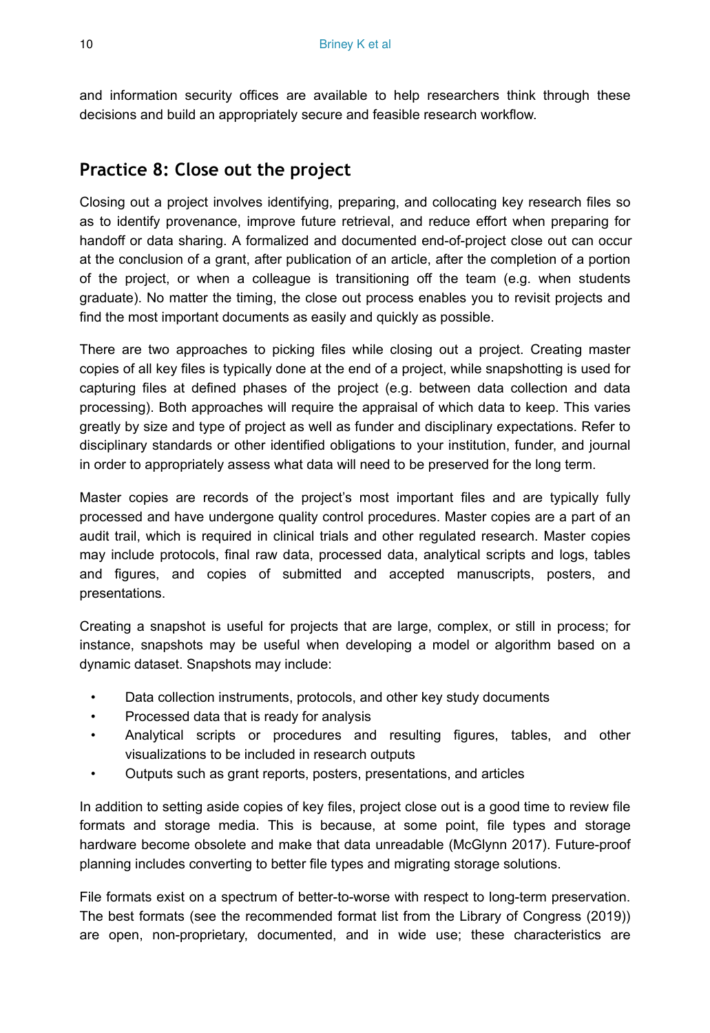and information security offices are available to help researchers think through these decisions and build an appropriately secure and feasible research workflow.

## **Practice 8: Close out the project**

Closing out a project involves identifying, preparing, and collocating key research files so as to identify provenance, improve future retrieval, and reduce effort when preparing for handoff or data sharing. A formalized and documented end-of-project close out can occur at the conclusion of a grant, after publication of an article, after the completion of a portion of the project, or when a colleague is transitioning off the team (e.g. when students graduate). No matter the timing, the close out process enables you to revisit projects and find the most important documents as easily and quickly as possible.

There are two approaches to picking files while closing out a project. Creating master copies of all key files is typically done at the end of a project, while snapshotting is used for capturing files at defined phases of the project (e.g. between data collection and data processing). Both approaches will require the appraisal of which data to keep. This varies greatly by size and type of project as well as funder and disciplinary expectations. Refer to disciplinary standards or other identified obligations to your institution, funder, and journal in order to appropriately assess what data will need to be preserved for the long term.

Master copies are records of the project's most important files and are typically fully processed and have undergone quality control procedures. Master copies are a part of an audit trail, which is required in clinical trials and other regulated research. Master copies may include protocols, final raw data, processed data, analytical scripts and logs, tables and figures, and copies of submitted and accepted manuscripts, posters, and presentations.

Creating a snapshot is useful for projects that are large, complex, or still in process; for instance, snapshots may be useful when developing a model or algorithm based on a dynamic dataset. Snapshots may include:

- Data collection instruments, protocols, and other key study documents
- Processed data that is ready for analysis
- Analytical scripts or procedures and resulting figures, tables, and other visualizations to be included in research outputs
- Outputs such as grant reports, posters, presentations, and articles

In addition to setting aside copies of key files, project close out is a good time to review file formats and storage media. This is because, at some point, file types and storage hardware become obsolete and make that data unreadable (McGlynn 2017). Future-proof planning includes converting to better file types and migrating storage solutions.

File formats exist on a spectrum of better-to-worse with respect to long-term preservation. The best formats (see the recommended format list from the Library of Congress (2019)) are open, non-proprietary, documented, and in wide use; these characteristics are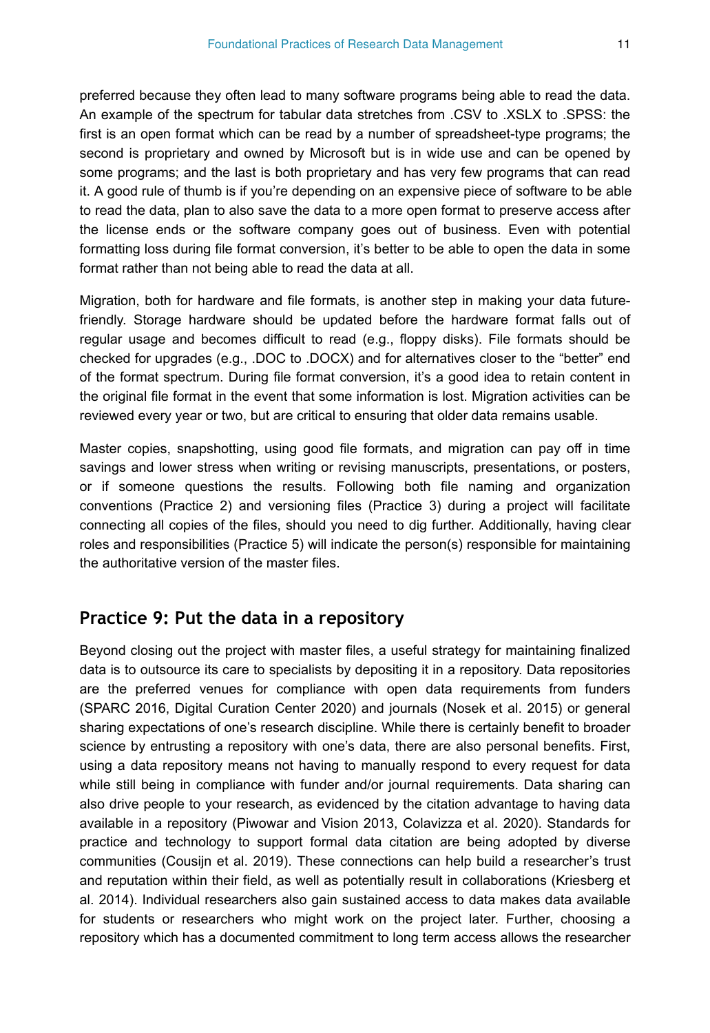preferred because they often lead to many software programs being able to read the data. An example of the spectrum for tabular data stretches from .CSV to .XSLX to .SPSS: the first is an open format which can be read by a number of spreadsheet-type programs; the second is proprietary and owned by Microsoft but is in wide use and can be opened by some programs; and the last is both proprietary and has very few programs that can read it. A good rule of thumb is if you're depending on an expensive piece of software to be able to read the data, plan to also save the data to a more open format to preserve access after the license ends or the software company goes out of business. Even with potential formatting loss during file format conversion, it's better to be able to open the data in some format rather than not being able to read the data at all.

Migration, both for hardware and file formats, is another step in making your data futurefriendly. Storage hardware should be updated before the hardware format falls out of regular usage and becomes difficult to read (e.g., floppy disks). File formats should be checked for upgrades (e.g., .DOC to .DOCX) and for alternatives closer to the "better" end of the format spectrum. During file format conversion, it's a good idea to retain content in the original file format in the event that some information is lost. Migration activities can be reviewed every year or two, but are critical to ensuring that older data remains usable.

Master copies, snapshotting, using good file formats, and migration can pay off in time savings and lower stress when writing or revising manuscripts, presentations, or posters, or if someone questions the results. Following both file naming and organization conventions (Practice 2) and versioning files (Practice 3) during a project will facilitate connecting all copies of the files, should you need to dig further. Additionally, having clear roles and responsibilities (Practice 5) will indicate the person(s) responsible for maintaining the authoritative version of the master files.

#### **Practice 9: Put the data in a repository**

Beyond closing out the project with master files, a useful strategy for maintaining finalized data is to outsource its care to specialists by depositing it in a repository. Data repositories are the preferred venues for compliance with open data requirements from funders (SPARC 2016, Digital Curation Center 2020) and journals (Nosek et al. 2015) or general sharing expectations of one's research discipline. While there is certainly benefit to broader science by entrusting a repository with one's data, there are also personal benefits. First, using a data repository means not having to manually respond to every request for data while still being in compliance with funder and/or journal requirements. Data sharing can also drive people to your research, as evidenced by the citation advantage to having data available in a repository (Piwowar and Vision 2013, Colavizza et al. 2020). Standards for practice and technology to support formal data citation are being adopted by diverse communities (Cousijn et al. 2019). These connections can help build a researcher's trust and reputation within their field, as well as potentially result in collaborations (Kriesberg et al. 2014). Individual researchers also gain sustained access to data makes data available for students or researchers who might work on the project later. Further, choosing a repository which has a documented commitment to long term access allows the researcher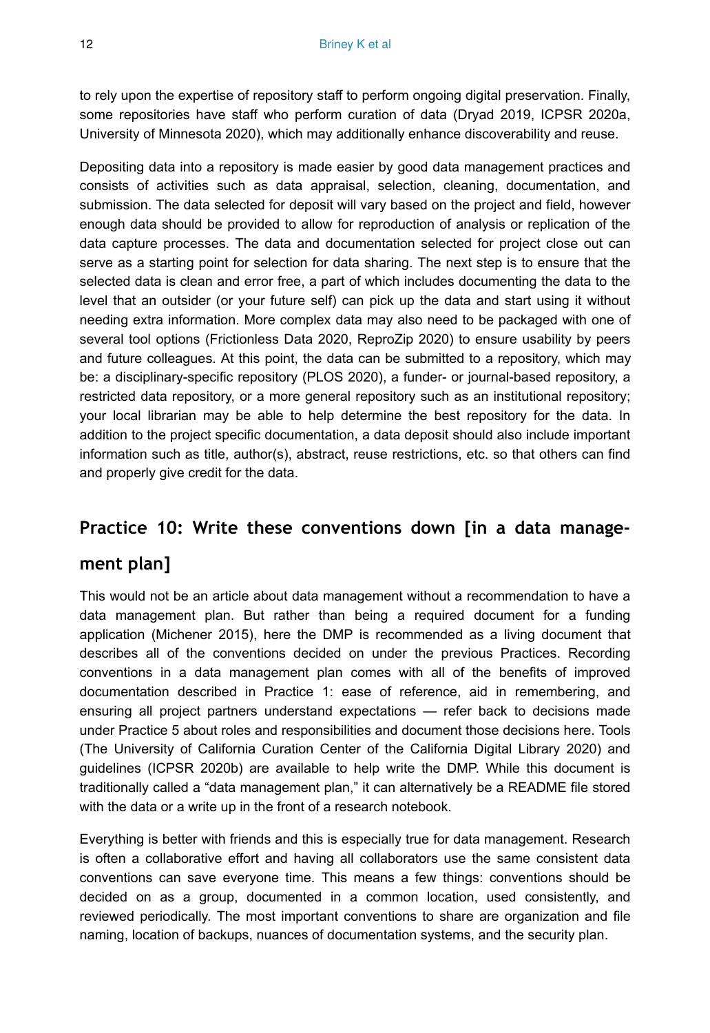to rely upon the expertise of repository staff to perform ongoing digital preservation. Finally, some repositories have staff who perform curation of data (Dryad 2019, ICPSR 2020a, University of Minnesota 2020), which may additionally enhance discoverability and reuse.

Depositing data into a repository is made easier by good data management practices and consists of activities such as data appraisal, selection, cleaning, documentation, and submission. The data selected for deposit will vary based on the project and field, however enough data should be provided to allow for reproduction of analysis or replication of the data capture processes. The data and documentation selected for project close out can serve as a starting point for selection for data sharing. The next step is to ensure that the selected data is clean and error free, a part of which includes documenting the data to the level that an outsider (or your future self) can pick up the data and start using it without needing extra information. More complex data may also need to be packaged with one of several tool options (Frictionless Data 2020, ReproZip 2020) to ensure usability by peers and future colleagues. At this point, the data can be submitted to a repository, which may be: a disciplinary-specific repository (PLOS 2020), a funder- or journal-based repository, a restricted data repository, or a more general repository such as an institutional repository; your local librarian may be able to help determine the best repository for the data. In addition to the project specific documentation, a data deposit should also include important information such as title, author(s), abstract, reuse restrictions, etc. so that others can find and properly give credit for the data.

#### **Practice 10: Write these conventions down [in a data manage-**

## **ment plan]**

This would not be an article about data management without a recommendation to have a data management plan. But rather than being a required document for a funding application (Michener 2015), here the DMP is recommended as a living document that describes all of the conventions decided on under the previous Practices. Recording conventions in a data management plan comes with all of the benefits of improved documentation described in Practice 1: ease of reference, aid in remembering, and ensuring all project partners understand expectations — refer back to decisions made under Practice 5 about roles and responsibilities and document those decisions here. Tools (The University of California Curation Center of the California Digital Library 2020) and guidelines (ICPSR 2020b) are available to help write the DMP. While this document is traditionally called a "data management plan," it can alternatively be a README file stored with the data or a write up in the front of a research notebook.

Everything is better with friends and this is especially true for data management. Research is often a collaborative effort and having all collaborators use the same consistent data conventions can save everyone time. This means a few things: conventions should be decided on as a group, documented in a common location, used consistently, and reviewed periodically. The most important conventions to share are organization and file naming, location of backups, nuances of documentation systems, and the security plan.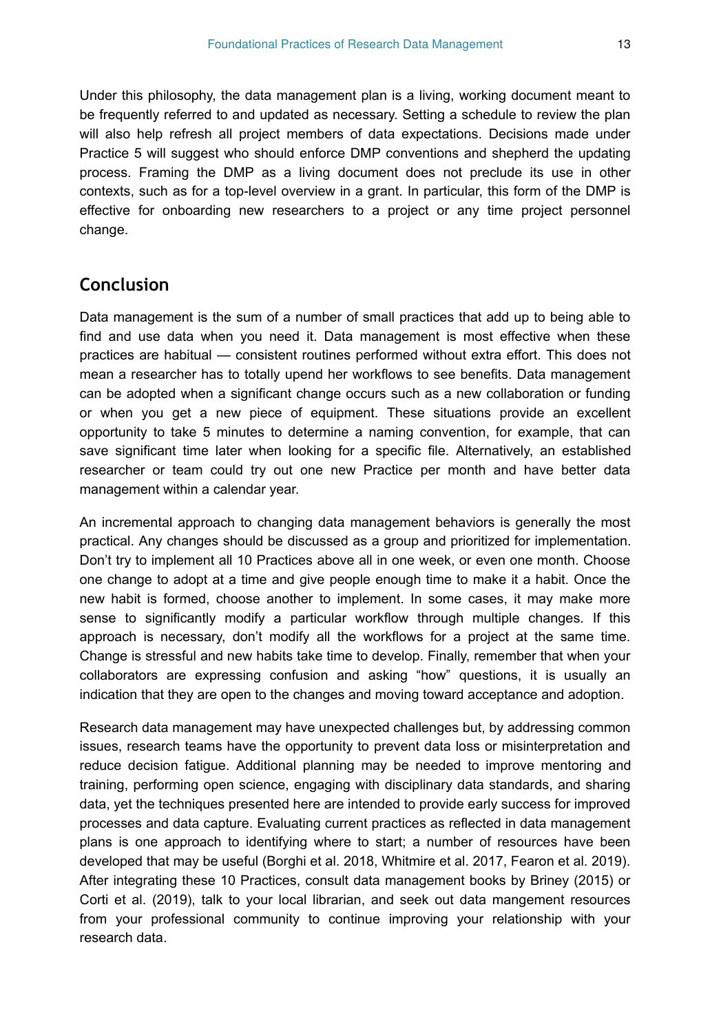Under this philosophy, the data management plan is a living, working document meant to be frequently referred to and updated as necessary. Setting a schedule to review the plan will also help refresh all project members of data expectations. Decisions made under Practice 5 will suggest who should enforce DMP conventions and shepherd the updating process. Framing the DMP as a living document does not preclude its use in other contexts, such as for a top-level overview in a grant. In particular, this form of the DMP is effective for onboarding new researchers to a project or any time project personnel change.

#### **Conclusion**

Data management is the sum of a number of small practices that add up to being able to find and use data when you need it. Data management is most effective when these practices are habitual — consistent routines performed without extra effort. This does not mean a researcher has to totally upend her workflows to see benefits. Data management can be adopted when a significant change occurs such as a new collaboration or funding or when you get a new piece of equipment. These situations provide an excellent opportunity to take 5 minutes to determine a naming convention, for example, that can save significant time later when looking for a specific file. Alternatively, an established researcher or team could try out one new Practice per month and have better data management within a calendar year.

An incremental approach to changing data management behaviors is generally the most practical. Any changes should be discussed as a group and prioritized for implementation. Don't try to implement all 10 Practices above all in one week, or even one month. Choose one change to adopt at a time and give people enough time to make it a habit. Once the new habit is formed, choose another to implement. In some cases, it may make more sense to significantly modify a particular workflow through multiple changes. If this approach is necessary, don't modify all the workflows for a project at the same time. Change is stressful and new habits take time to develop. Finally, remember that when your collaborators are expressing confusion and asking "how" questions, it is usually an indication that they are open to the changes and moving toward acceptance and adoption.

Research data management may have unexpected challenges but, by addressing common issues, research teams have the opportunity to prevent data loss or misinterpretation and reduce decision fatigue. Additional planning may be needed to improve mentoring and training, performing open science, engaging with disciplinary data standards, and sharing data, yet the techniques presented here are intended to provide early success for improved processes and data capture. Evaluating current practices as reflected in data management plans is one approach to identifying where to start; a number of resources have been developed that may be useful (Borghi et al. 2018, Whitmire et al. 2017, Fearon et al. 2019). After integrating these 10 Practices, consult data management books by Briney (2015) or Corti et al. (2019), talk to your local librarian, and seek out data mangement resources from your professional community to continue improving your relationship with your research data.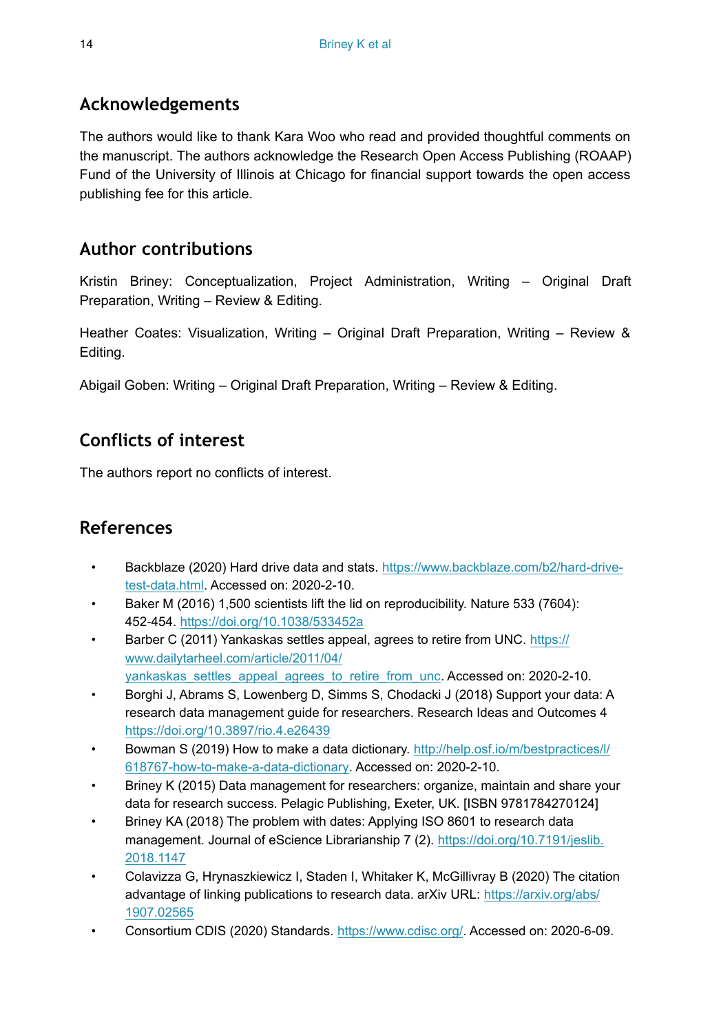# **Acknowledgements**

The authors would like to thank Kara Woo who read and provided thoughtful comments on the manuscript. The authors acknowledge the Research Open Access Publishing (ROAAP) Fund of the University of Illinois at Chicago for financial support towards the open access publishing fee for this article.

# **Author contributions**

Kristin Briney: Conceptualization, Project Administration, Writing – Original Draft Preparation, Writing – Review & Editing.

Heather Coates: Visualization, Writing – Original Draft Preparation, Writing – Review & Editing.

Abigail Goben: Writing – Original Draft Preparation, Writing – Review & Editing.

# **Conflicts of interest**

The authors report no conflicts of interest.

# **References**

- Backblaze (2020) Hard drive data and stats. [https://www.backblaze.com/b2/hard-drive](https://www.backblaze.com/b2/hard-drive-test-data.html)[test-data.html](https://www.backblaze.com/b2/hard-drive-test-data.html). Accessed on: 2020-2-10.
- Baker M (2016) 1,500 scientists lift the lid on reproducibility. Nature 533 (7604): 452‑454. <https://doi.org/10.1038/533452a>
- Barber C (2011) Yankaskas settles appeal, agrees to retire from UNC. [https://](https://www.dailytarheel.com/article/2011/04/yankaskas_settles_appeal_agrees_to_retire_from_unc) [www.dailytarheel.com/article/2011/04/](https://www.dailytarheel.com/article/2011/04/yankaskas_settles_appeal_agrees_to_retire_from_unc) [yankaskas\\_settles\\_appeal\\_agrees\\_to\\_retire\\_from\\_unc](https://www.dailytarheel.com/article/2011/04/yankaskas_settles_appeal_agrees_to_retire_from_unc). Accessed on: 2020-2-10.
- Borghi J, Abrams S, Lowenberg D, Simms S, Chodacki J (2018) Support your data: A research data management guide for researchers. Research Ideas and Outcomes 4 <https://doi.org/10.3897/rio.4.e26439>
- Bowman S (2019) How to make a data dictionary. [http://help.osf.io/m/bestpractices/l/](http://help.osf.io/m/bestpractices/l/618767-how-to-make-a-data-dictionary) [618767-how-to-make-a-data-dictionary.](http://help.osf.io/m/bestpractices/l/618767-how-to-make-a-data-dictionary) Accessed on: 2020-2-10.
- Briney K (2015) Data management for researchers: organize, maintain and share your data for research success. Pelagic Publishing, Exeter, UK. [ISBN 9781784270124]
- Briney KA (2018) The problem with dates: Applying ISO 8601 to research data management. Journal of eScience Librarianship 7 (2). [https://doi.org/10.7191/jeslib.](https://doi.org/10.7191/jeslib.2018.1147) [2018.1147](https://doi.org/10.7191/jeslib.2018.1147)
- Colavizza G, Hrynaszkiewicz I, Staden I, Whitaker K, McGillivray B (2020) The citation advantage of linking publications to research data. arXiv URL: [https://arxiv.org/abs/](https://arxiv.org/abs/1907.02565) [1907.02565](https://arxiv.org/abs/1907.02565)
- Consortium CDIS (2020) Standards. [https://www.cdisc.org/.](https://www.cdisc.org/) Accessed on: 2020-6-09.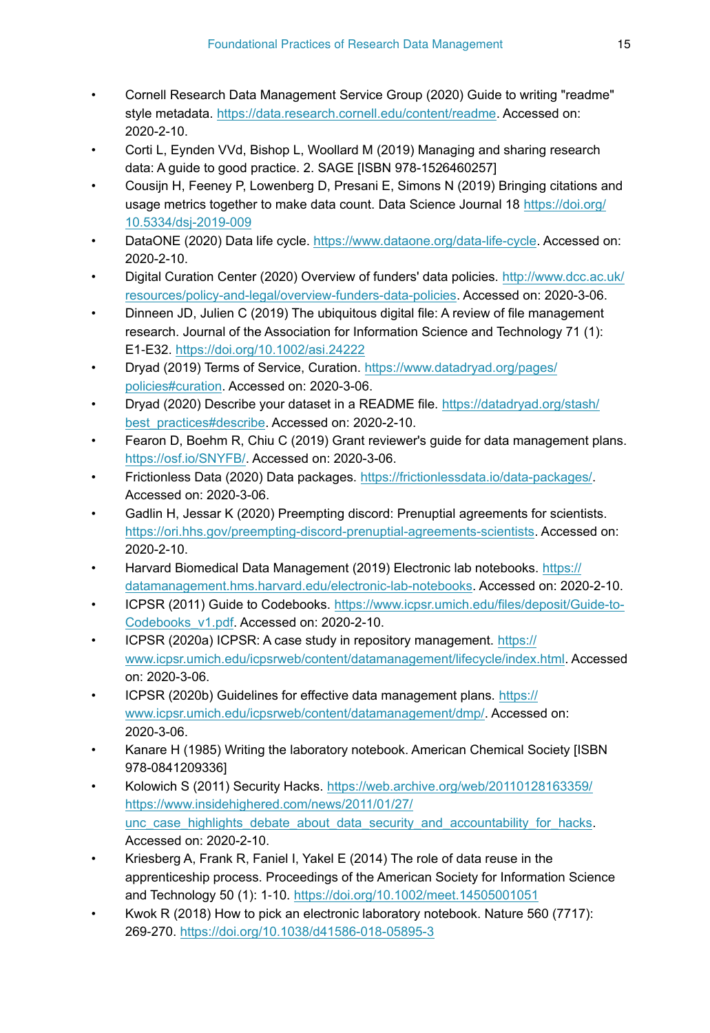- Cornell Research Data Management Service Group (2020) Guide to writing "readme" style metadata. [https://data.research.cornell.edu/content/readme.](https://data.research.cornell.edu/content/readme) Accessed on: 2020-2-10.
- Corti L, Eynden VVd, Bishop L, Woollard M (2019) Managing and sharing research data: A guide to good practice. 2. SAGE [ISBN 978-1526460257]
- Cousijn H, Feeney P, Lowenberg D, Presani E, Simons N (2019) Bringing citations and usage metrics together to make data count. Data Science Journal 18 [https://doi.org/](https://doi.org/10.5334/dsj-2019-009) [10.5334/dsj-2019-009](https://doi.org/10.5334/dsj-2019-009)
- DataONE (2020) Data life cycle.<https://www.dataone.org/data-life-cycle>. Accessed on: 2020-2-10.
- Digital Curation Center (2020) Overview of funders' data policies. [http://www.dcc.ac.uk/](http://www.dcc.ac.uk/resources/policy-and-legal/overview-funders-data-policies) [resources/policy-and-legal/overview-funders-data-policies.](http://www.dcc.ac.uk/resources/policy-and-legal/overview-funders-data-policies) Accessed on: 2020-3-06.
- Dinneen JD, Julien C (2019) The ubiquitous digital file: A review of file management research. Journal of the Association for Information Science and Technology 71 (1): E1‑E32. <https://doi.org/10.1002/asi.24222>
- Dryad (2019) Terms of Service, Curation. [https://www.datadryad.org/pages/](https://www.datadryad.org/pages/policies#curation) [policies#curation](https://www.datadryad.org/pages/policies#curation). Accessed on: 2020-3-06.
- Dryad (2020) Describe your dataset in a README file. [https://datadryad.org/stash/](https://datadryad.org/stash/best_practices#describe) [best\\_practices#describe.](https://datadryad.org/stash/best_practices#describe) Accessed on: 2020-2-10.
- Fearon D, Boehm R, Chiu C (2019) Grant reviewer's guide for data management plans. [https://osf.io/SNYFB/.](https://osf.io/SNYFB/) Accessed on: 2020-3-06.
- Frictionless Data (2020) Data packages. [https://frictionlessdata.io/data-packages/.](https://frictionlessdata.io/data-packages/) Accessed on: 2020-3-06.
- Gadlin H, Jessar K (2020) Preempting discord: Prenuptial agreements for scientists. [https://ori.hhs.gov/preempting-discord-prenuptial-agreements-scientists.](https://ori.hhs.gov/preempting-discord-prenuptial-agreements-scientists) Accessed on: 2020-2-10.
- Harvard Biomedical Data Management (2019) Electronic lab notebooks. [https://](https://datamanagement.hms.harvard.edu/electronic-lab-notebooks) [datamanagement.hms.harvard.edu/electronic-lab-notebooks](https://datamanagement.hms.harvard.edu/electronic-lab-notebooks). Accessed on: 2020-2-10.
- ICPSR (2011) Guide to Codebooks. [https://www.icpsr.umich.edu/files/deposit/Guide-to-](https://www.icpsr.umich.edu/files/deposit/Guide-to-Codebooks_v1.pdf)[Codebooks\\_v1.pdf.](https://www.icpsr.umich.edu/files/deposit/Guide-to-Codebooks_v1.pdf) Accessed on: 2020-2-10.
- ICPSR (2020a) ICPSR: A case study in repository management. [https://](https://www.icpsr.umich.edu/icpsrweb/content/datamanagement/lifecycle/index.html) [www.icpsr.umich.edu/icpsrweb/content/datamanagement/lifecycle/index.html.](https://www.icpsr.umich.edu/icpsrweb/content/datamanagement/lifecycle/index.html) Accessed on: 2020-3-06.
- ICPSR (2020b) Guidelines for effective data management plans. [https://](https://www.icpsr.umich.edu/icpsrweb/content/datamanagement/dmp/) [www.icpsr.umich.edu/icpsrweb/content/datamanagement/dmp/](https://www.icpsr.umich.edu/icpsrweb/content/datamanagement/dmp/). Accessed on: 2020-3-06.
- Kanare H (1985) Writing the laboratory notebook. American Chemical Society [ISBN 978-0841209336]
- Kolowich S (2011) Security Hacks. [https://web.archive.org/web/20110128163359/](https://web.archive.org/web/20110128163359/https://www.insidehighered.com/news/2011/01/27/unc_case_highlights_debate_about_data_security_and_accountability_for_hacks) [https://www.insidehighered.com/news/2011/01/27/](https://web.archive.org/web/20110128163359/https://www.insidehighered.com/news/2011/01/27/unc_case_highlights_debate_about_data_security_and_accountability_for_hacks) [unc\\_case\\_highlights\\_debate\\_about\\_data\\_security\\_and\\_accountability\\_for\\_hacks](https://web.archive.org/web/20110128163359/https://www.insidehighered.com/news/2011/01/27/unc_case_highlights_debate_about_data_security_and_accountability_for_hacks). Accessed on: 2020-2-10.
- Kriesberg A, Frank R, Faniel I, Yakel E (2014) The role of data reuse in the apprenticeship process. Proceedings of the American Society for Information Science and Technology 50 (1): 1‑10. <https://doi.org/10.1002/meet.14505001051>
- Kwok R (2018) How to pick an electronic laboratory notebook. Nature 560 (7717): 269‑270. <https://doi.org/10.1038/d41586-018-05895-3>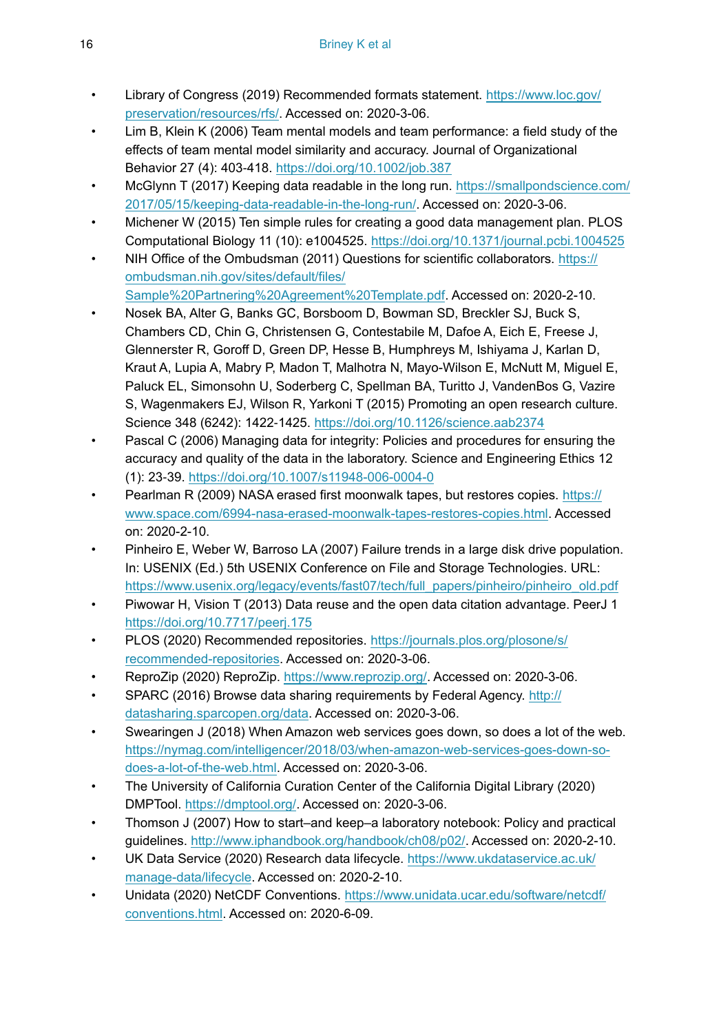- Library of Congress (2019) Recommended formats statement. [https://www.loc.gov/](https://www.loc.gov/preservation/resources/rfs/) [preservation/resources/rfs/.](https://www.loc.gov/preservation/resources/rfs/) Accessed on: 2020-3-06.
- Lim B, Klein K (2006) Team mental models and team performance: a field study of the effects of team mental model similarity and accuracy. Journal of Organizational Behavior 27 (4): 403‑418. <https://doi.org/10.1002/job.387>
- McGlynn T (2017) Keeping data readable in the long run. [https://smallpondscience.com/](https://smallpondscience.com/2017/05/15/keeping-data-readable-in-the-long-run/) [2017/05/15/keeping-data-readable-in-the-long-run/](https://smallpondscience.com/2017/05/15/keeping-data-readable-in-the-long-run/). Accessed on: 2020-3-06.
- Michener W (2015) Ten simple rules for creating a good data management plan. PLOS Computational Biology 11 (10): e1004525.<https://doi.org/10.1371/journal.pcbi.1004525>
- NIH Office of the Ombudsman (2011) Questions for scientific collaborators. [https://](https://ombudsman.nih.gov/sites/default/files/Sample%20Partnering%20Agreement%20Template.pdf) [ombudsman.nih.gov/sites/default/files/](https://ombudsman.nih.gov/sites/default/files/Sample%20Partnering%20Agreement%20Template.pdf) [Sample%20Partnering%20Agreement%20Template.pdf](https://ombudsman.nih.gov/sites/default/files/Sample%20Partnering%20Agreement%20Template.pdf). Accessed on: 2020-2-10.
- Nosek BA, Alter G, Banks GC, Borsboom D, Bowman SD, Breckler SJ, Buck S, Chambers CD, Chin G, Christensen G, Contestabile M, Dafoe A, Eich E, Freese J, Glennerster R, Goroff D, Green DP, Hesse B, Humphreys M, Ishiyama J, Karlan D, Kraut A, Lupia A, Mabry P, Madon T, Malhotra N, Mayo-Wilson E, McNutt M, Miguel E, Paluck EL, Simonsohn U, Soderberg C, Spellman BA, Turitto J, VandenBos G, Vazire S, Wagenmakers EJ, Wilson R, Yarkoni T (2015) Promoting an open research culture. Science 348 (6242): 1422‑1425. <https://doi.org/10.1126/science.aab2374>
- Pascal C (2006) Managing data for integrity: Policies and procedures for ensuring the accuracy and quality of the data in the laboratory. Science and Engineering Ethics 12 (1): 23‑39.<https://doi.org/10.1007/s11948-006-0004-0>
- Pearlman R (2009) NASA erased first moonwalk tapes, but restores copies. [https://](https://www.space.com/6994-nasa-erased-moonwalk-tapes-restores-copies.html) [www.space.com/6994-nasa-erased-moonwalk-tapes-restores-copies.html.](https://www.space.com/6994-nasa-erased-moonwalk-tapes-restores-copies.html) Accessed on: 2020-2-10.
- Pinheiro E, Weber W, Barroso LA (2007) Failure trends in a large disk drive population. In: USENIX (Ed.) 5th USENIX Conference on File and Storage Technologies. URL: [https://www.usenix.org/legacy/events/fast07/tech/full\\_papers/pinheiro/pinheiro\\_old.pdf](https://www.usenix.org/legacy/events/fast07/tech/full_papers/pinheiro/pinheiro_old.pdf)
- Piwowar H, Vision T (2013) Data reuse and the open data citation advantage. PeerJ 1 <https://doi.org/10.7717/peerj.175>
- PLOS (2020) Recommended repositories. [https://journals.plos.org/plosone/s/](https://journals.plos.org/plosone/s/recommended-repositories) [recommended-repositories](https://journals.plos.org/plosone/s/recommended-repositories). Accessed on: 2020-3-06.
- ReproZip (2020) ReproZip. <https://www.reprozip.org/>. Accessed on: 2020-3-06.
- SPARC (2016) Browse data sharing requirements by Federal Agency. [http://](http://datasharing.sparcopen.org/data) [datasharing.sparcopen.org/data](http://datasharing.sparcopen.org/data). Accessed on: 2020-3-06.
- Swearingen J (2018) When Amazon web services goes down, so does a lot of the web. [https://nymag.com/intelligencer/2018/03/when-amazon-web-services-goes-down-so](https://nymag.com/intelligencer/2018/03/when-amazon-web-services-goes-down-so-does-a-lot-of-the-web.html)[does-a-lot-of-the-web.html](https://nymag.com/intelligencer/2018/03/when-amazon-web-services-goes-down-so-does-a-lot-of-the-web.html). Accessed on: 2020-3-06.
- The University of California Curation Center of the California Digital Library (2020) DMPTool. <https://dmptool.org/>. Accessed on: 2020-3-06.
- Thomson J (2007) How to start–and keep–a laboratory notebook: Policy and practical guidelines. <http://www.iphandbook.org/handbook/ch08/p02/>. Accessed on: 2020-2-10.
- UK Data Service (2020) Research data lifecycle. [https://www.ukdataservice.ac.uk/](https://www.ukdataservice.ac.uk/manage-data/lifecycle) [manage-data/lifecycle.](https://www.ukdataservice.ac.uk/manage-data/lifecycle) Accessed on: 2020-2-10.
- Unidata (2020) NetCDF Conventions. [https://www.unidata.ucar.edu/software/netcdf/](https://www.unidata.ucar.edu/software/netcdf/conventions.html) [conventions.html.](https://www.unidata.ucar.edu/software/netcdf/conventions.html) Accessed on: 2020-6-09.